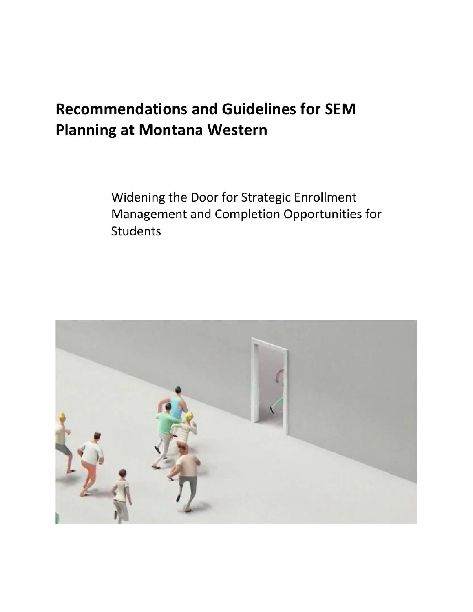# **Recommendations and Guidelines for SEM Planning at Montana Western**

Widening the Door for Strategic Enrollment Management and Completion Opportunities for **Students** 

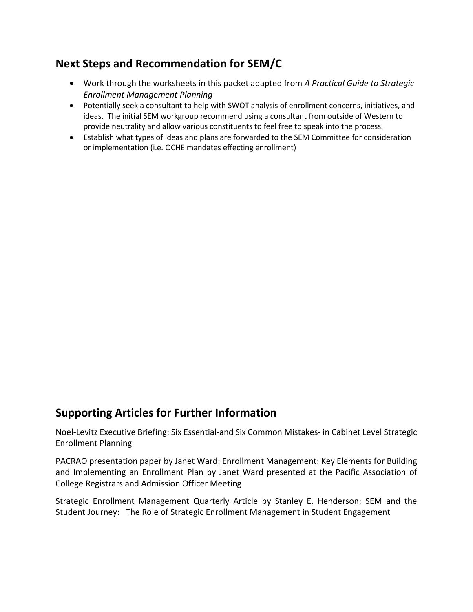### **Next Steps and Recommendation for SEM/C**

- Work through the worksheets in this packet adapted from *A Practical Guide to Strategic Enrollment Management Planning*
- Potentially seek a consultant to help with SWOT analysis of enrollment concerns, initiatives, and ideas. The initial SEM workgroup recommend using a consultant from outside of Western to provide neutrality and allow various constituents to feel free to speak into the process.
- Establish what types of ideas and plans are forwarded to the SEM Committee for consideration or implementation (i.e. OCHE mandates effecting enrollment)

#### **Supporting Articles for Further Information**

Noel-Levitz Executive Briefing: Six Essential-and Six Common Mistakes- in Cabinet Level Strategic Enrollment Planning

PACRAO presentation paper by Janet Ward: Enrollment Management: Key Elements for Building and Implementing an Enrollment Plan by Janet Ward presented at the Pacific Association of College Registrars and Admission Officer Meeting

Strategic Enrollment Management Quarterly Article by Stanley E. Henderson: SEM and the Student Journey: The Role of Strategic Enrollment Management in Student Engagement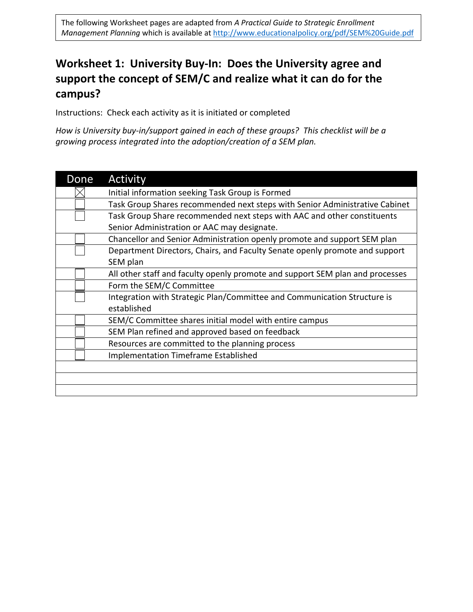## **Worksheet 1: University Buy-In: Does the University agree and support the concept of SEM/C and realize what it can do for the campus?**

Instructions: Check each activity as it is initiated or completed

*How is University buy-in/support gained in each of these groups? This checklist will be a growing process integrated into the adoption/creation of a SEM plan.* 

| Done | Activity                                                                      |
|------|-------------------------------------------------------------------------------|
|      | Initial information seeking Task Group is Formed                              |
|      | Task Group Shares recommended next steps with Senior Administrative Cabinet   |
|      | Task Group Share recommended next steps with AAC and other constituents       |
|      | Senior Administration or AAC may designate.                                   |
|      | Chancellor and Senior Administration openly promote and support SEM plan      |
|      | Department Directors, Chairs, and Faculty Senate openly promote and support   |
|      | SEM plan                                                                      |
|      | All other staff and faculty openly promote and support SEM plan and processes |
|      | Form the SEM/C Committee                                                      |
|      | Integration with Strategic Plan/Committee and Communication Structure is      |
|      | established                                                                   |
|      | SEM/C Committee shares initial model with entire campus                       |
|      | SEM Plan refined and approved based on feedback                               |
|      | Resources are committed to the planning process                               |
|      | <b>Implementation Timeframe Established</b>                                   |
|      |                                                                               |
|      |                                                                               |
|      |                                                                               |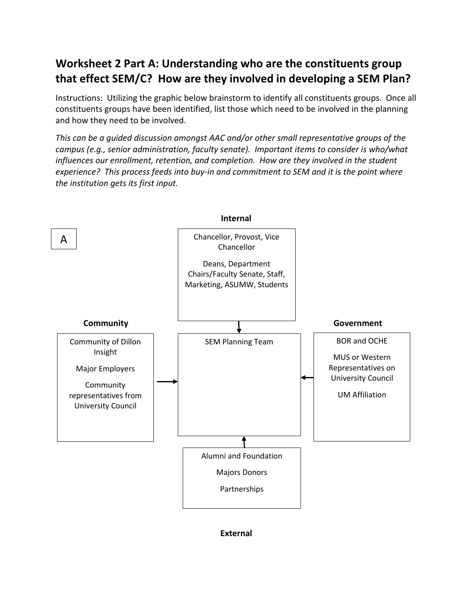### **Worksheet 2 Part A: Understanding who are the constituents group that effect SEM/C? How are they involved in developing a SEM Plan?**

Instructions: Utilizing the graphic below brainstorm to identify all constituents groups. Once all constituents groups have been identified, list those which need to be involved in the planning and how they need to be involved.

*This can be a guided discussion amongst AAC and/or other small representative groups of the campus (e.g., senior administration, faculty senate). Important items to consider is who/what influences our enrollment, retention, and completion. How are they involved in the student experience? This process feeds into buy-in and commitment to SEM and it is the point where the institution gets its first input.*



**External**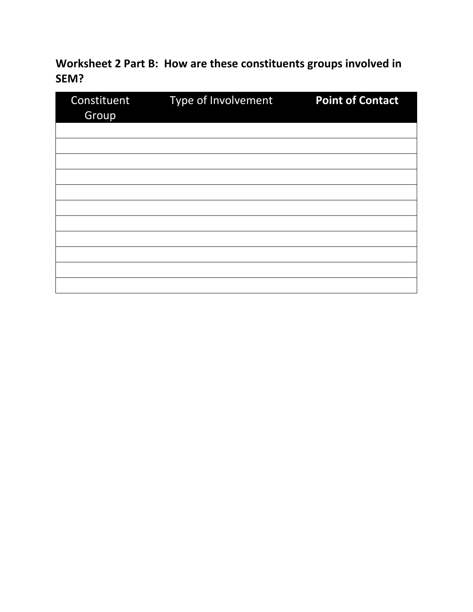**Worksheet 2 Part B: How are these constituents groups involved in SEM?**

| Constituent<br>Group | Type of Involvement | <b>Point of Contact</b> |  |  |
|----------------------|---------------------|-------------------------|--|--|
|                      |                     |                         |  |  |
|                      |                     |                         |  |  |
|                      |                     |                         |  |  |
|                      |                     |                         |  |  |
|                      |                     |                         |  |  |
|                      |                     |                         |  |  |
|                      |                     |                         |  |  |
|                      |                     |                         |  |  |
|                      |                     |                         |  |  |
|                      |                     |                         |  |  |
|                      |                     |                         |  |  |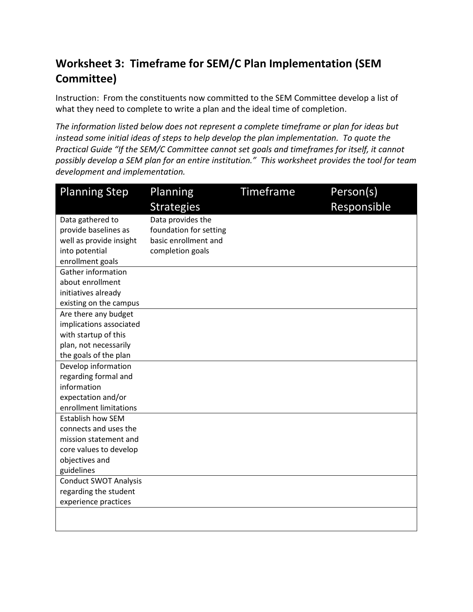# **Worksheet 3: Timeframe for SEM/C Plan Implementation (SEM Committee)**

Instruction: From the constituents now committed to the SEM Committee develop a list of what they need to complete to write a plan and the ideal time of completion.

*The information listed below does not represent a complete timeframe or plan for ideas but instead some initial ideas of steps to help develop the plan implementation. To quote the Practical Guide "If the SEM/C Committee cannot set goals and timeframes for itself, it cannot possibly develop a SEM plan for an entire institution." This worksheet provides the tool for team development and implementation.*

| <b>Planning Step</b>         | Planning               | Timeframe | Person(s)   |
|------------------------------|------------------------|-----------|-------------|
|                              | <b>Strategies</b>      |           | Responsible |
| Data gathered to             | Data provides the      |           |             |
| provide baselines as         | foundation for setting |           |             |
| well as provide insight      | basic enrollment and   |           |             |
| into potential               | completion goals       |           |             |
| enrollment goals             |                        |           |             |
| Gather information           |                        |           |             |
| about enrollment             |                        |           |             |
| initiatives already          |                        |           |             |
| existing on the campus       |                        |           |             |
| Are there any budget         |                        |           |             |
| implications associated      |                        |           |             |
| with startup of this         |                        |           |             |
| plan, not necessarily        |                        |           |             |
| the goals of the plan        |                        |           |             |
| Develop information          |                        |           |             |
| regarding formal and         |                        |           |             |
| information                  |                        |           |             |
| expectation and/or           |                        |           |             |
| enrollment limitations       |                        |           |             |
| <b>Establish how SEM</b>     |                        |           |             |
| connects and uses the        |                        |           |             |
| mission statement and        |                        |           |             |
| core values to develop       |                        |           |             |
| objectives and               |                        |           |             |
| guidelines                   |                        |           |             |
| <b>Conduct SWOT Analysis</b> |                        |           |             |
| regarding the student        |                        |           |             |
| experience practices         |                        |           |             |
|                              |                        |           |             |
|                              |                        |           |             |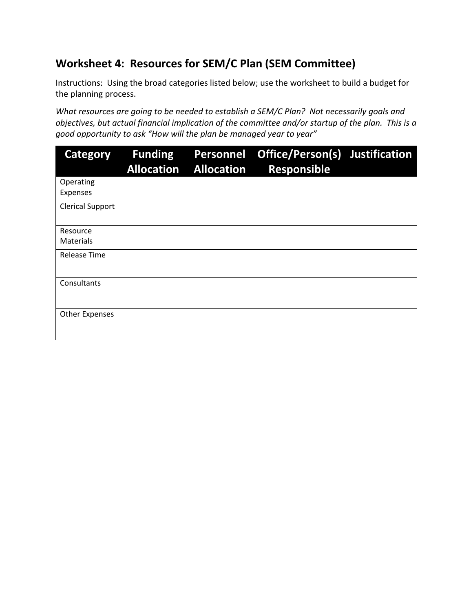### **Worksheet 4: Resources for SEM/C Plan (SEM Committee)**

Instructions: Using the broad categories listed below; use the worksheet to build a budget for the planning process.

*What resources are going to be needed to establish a SEM/C Plan? Not necessarily goals and objectives, but actual financial implication of the committee and/or startup of the plan. This is a good opportunity to ask "How will the plan be managed year to year"*

| Category                     | <b>Funding</b><br><b>Allocation</b> | <b>Personnel</b><br><b>Allocation</b> | Office/Person(s) Justification<br><b>Responsible</b> |  |
|------------------------------|-------------------------------------|---------------------------------------|------------------------------------------------------|--|
| Operating<br>Expenses        |                                     |                                       |                                                      |  |
| <b>Clerical Support</b>      |                                     |                                       |                                                      |  |
| Resource<br><b>Materials</b> |                                     |                                       |                                                      |  |
| <b>Release Time</b>          |                                     |                                       |                                                      |  |
| Consultants                  |                                     |                                       |                                                      |  |
| <b>Other Expenses</b>        |                                     |                                       |                                                      |  |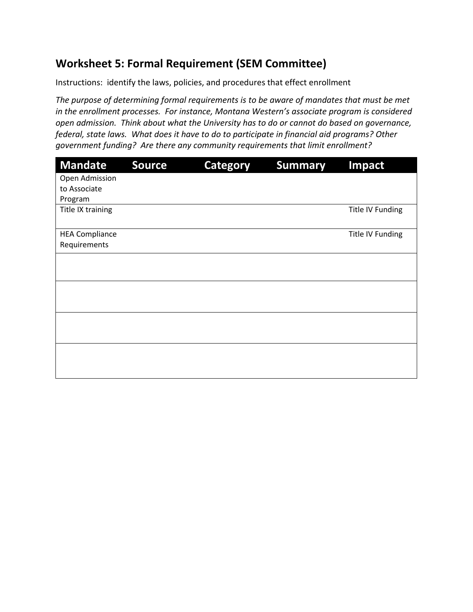### **Worksheet 5: Formal Requirement (SEM Committee)**

Instructions: identify the laws, policies, and procedures that effect enrollment

*The purpose of determining formal requirements is to be aware of mandates that must be met in the enrollment processes. For instance, Montana Western's associate program is considered open admission. Think about what the University has to do or cannot do based on governance, federal, state laws. What does it have to do to participate in financial aid programs? Other government funding? Are there any community requirements that limit enrollment?*

| <b>Mandate</b>        | <b>Source</b> | <b>Category</b> | <b>Summary</b> | Impact           |
|-----------------------|---------------|-----------------|----------------|------------------|
| Open Admission        |               |                 |                |                  |
| to Associate          |               |                 |                |                  |
| Program               |               |                 |                |                  |
| Title IX training     |               |                 |                | Title IV Funding |
|                       |               |                 |                |                  |
| <b>HEA Compliance</b> |               |                 |                | Title IV Funding |
| Requirements          |               |                 |                |                  |
|                       |               |                 |                |                  |
|                       |               |                 |                |                  |
|                       |               |                 |                |                  |
|                       |               |                 |                |                  |
|                       |               |                 |                |                  |
|                       |               |                 |                |                  |
|                       |               |                 |                |                  |
|                       |               |                 |                |                  |
|                       |               |                 |                |                  |
|                       |               |                 |                |                  |
|                       |               |                 |                |                  |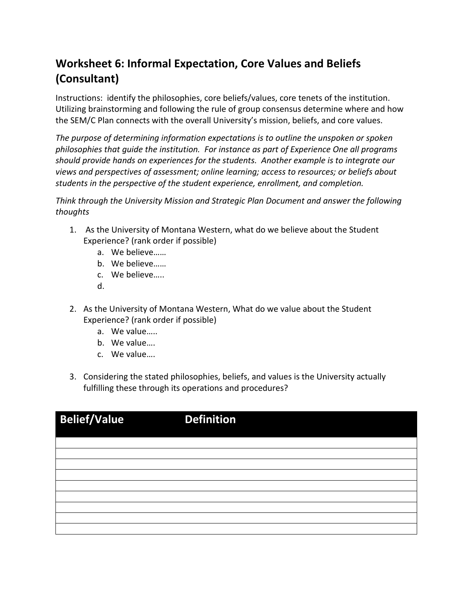# **Worksheet 6: Informal Expectation, Core Values and Beliefs (Consultant)**

Instructions: identify the philosophies, core beliefs/values, core tenets of the institution. Utilizing brainstorming and following the rule of group consensus determine where and how the SEM/C Plan connects with the overall University's mission, beliefs, and core values.

*The purpose of determining information expectations is to outline the unspoken or spoken philosophies that guide the institution. For instance as part of Experience One all programs should provide hands on experiences for the students. Another example is to integrate our views and perspectives of assessment; online learning; access to resources; or beliefs about students in the perspective of the student experience, enrollment, and completion.*

*Think through the University Mission and Strategic Plan Document and answer the following thoughts*

- 1. As the University of Montana Western, what do we believe about the Student Experience? (rank order if possible)
	- a. We believe……
	- b. We believe……
	- c. We believe…..
	- d.
- 2. As the University of Montana Western, What do we value about the Student Experience? (rank order if possible)
	- a. We value…..
	- b. We value….
	- c. We value….
- 3. Considering the stated philosophies, beliefs, and values is the University actually fulfilling these through its operations and procedures?

| <b>Belief/Value</b> | <b>Definition</b> |
|---------------------|-------------------|
|                     |                   |
|                     |                   |
|                     |                   |
|                     |                   |
|                     |                   |
|                     |                   |
|                     |                   |
|                     |                   |
|                     |                   |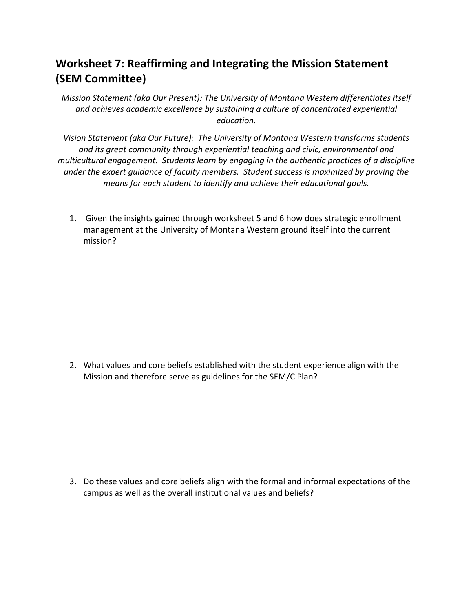### **Worksheet 7: Reaffirming and Integrating the Mission Statement (SEM Committee)**

*Mission Statement (aka Our Present): The University of Montana Western differentiates itself and achieves academic excellence by sustaining a culture of concentrated experiential education.*

*Vision Statement (aka Our Future): The University of Montana Western transforms students and its great community through experiential teaching and civic, environmental and multicultural engagement. Students learn by engaging in the authentic practices of a discipline under the expert guidance of faculty members. Student success is maximized by proving the means for each student to identify and achieve their educational goals.*

1. Given the insights gained through worksheet 5 and 6 how does strategic enrollment management at the University of Montana Western ground itself into the current mission?

2. What values and core beliefs established with the student experience align with the Mission and therefore serve as guidelines for the SEM/C Plan?

3. Do these values and core beliefs align with the formal and informal expectations of the campus as well as the overall institutional values and beliefs?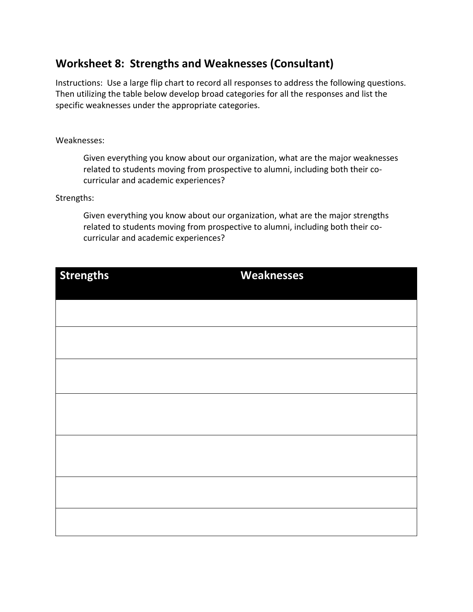#### **Worksheet 8: Strengths and Weaknesses (Consultant)**

Instructions: Use a large flip chart to record all responses to address the following questions. Then utilizing the table below develop broad categories for all the responses and list the specific weaknesses under the appropriate categories.

#### Weaknesses:

Given everything you know about our organization, what are the major weaknesses related to students moving from prospective to alumni, including both their cocurricular and academic experiences?

#### Strengths:

Given everything you know about our organization, what are the major strengths related to students moving from prospective to alumni, including both their cocurricular and academic experiences?

| <b>Strengths</b> | <b>Weaknesses</b> |  |  |
|------------------|-------------------|--|--|
|                  |                   |  |  |
|                  |                   |  |  |
|                  |                   |  |  |
|                  |                   |  |  |
|                  |                   |  |  |
|                  |                   |  |  |
|                  |                   |  |  |
|                  |                   |  |  |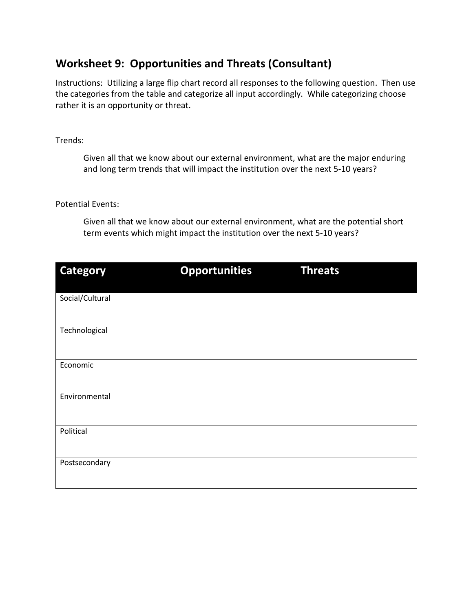#### **Worksheet 9: Opportunities and Threats (Consultant)**

Instructions: Utilizing a large flip chart record all responses to the following question. Then use the categories from the table and categorize all input accordingly. While categorizing choose rather it is an opportunity or threat.

#### Trends:

Given all that we know about our external environment, what are the major enduring and long term trends that will impact the institution over the next 5-10 years?

#### Potential Events:

Given all that we know about our external environment, what are the potential short term events which might impact the institution over the next 5-10 years?

| <b>Category</b> | <b>Opportunities</b> | <b>Threats</b> |
|-----------------|----------------------|----------------|
| Social/Cultural |                      |                |
| Technological   |                      |                |
| Economic        |                      |                |
| Environmental   |                      |                |
| Political       |                      |                |
| Postsecondary   |                      |                |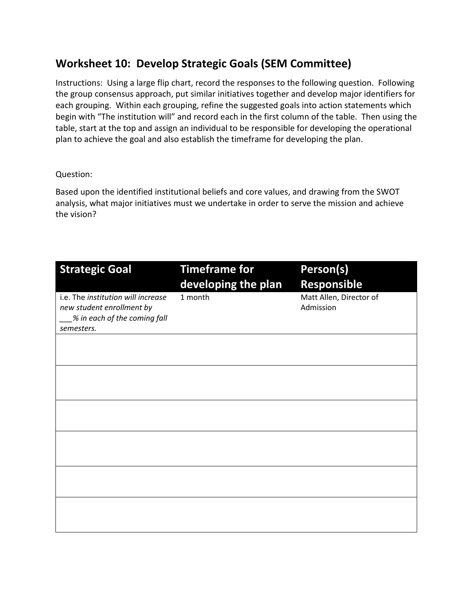### **Worksheet 10: Develop Strategic Goals (SEM Committee)**

Instructions: Using a large flip chart, record the responses to the following question. Following the group consensus approach, put similar initiatives together and develop major identifiers for each grouping. Within each grouping, refine the suggested goals into action statements which begin with "The institution will" and record each in the first column of the table. Then using the table, start at the top and assign an individual to be responsible for developing the operational plan to achieve the goal and also establish the timeframe for developing the plan.

#### Question:

Based upon the identified institutional beliefs and core values, and drawing from the SWOT analysis, what major initiatives must we undertake in order to serve the mission and achieve the vision?

| <b>Strategic Goal</b>                                                                                         | <b>Timeframe for</b><br>developing the plan | Person(s)<br><b>Responsible</b>      |
|---------------------------------------------------------------------------------------------------------------|---------------------------------------------|--------------------------------------|
| i.e. The institution will increase<br>new student enrollment by<br>% in each of the coming fall<br>semesters. | 1 month                                     | Matt Allen, Director of<br>Admission |
|                                                                                                               |                                             |                                      |
|                                                                                                               |                                             |                                      |
|                                                                                                               |                                             |                                      |
|                                                                                                               |                                             |                                      |
|                                                                                                               |                                             |                                      |
|                                                                                                               |                                             |                                      |